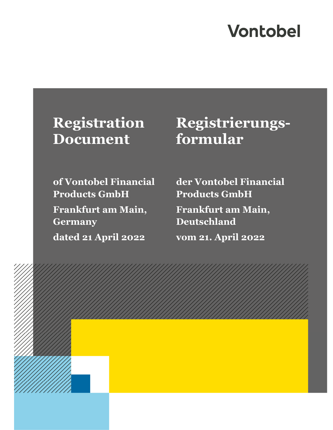# **Vontobel**

# **Document**

## **Registration Registrierungsformular**

**of Vontobel Financial Products GmbH Frankfurt am Main, Germany dated 21 April 2022** 

**der Vontobel Financial Products GmbH Frankfurt am Main, Deutschland vom 21. April 2022**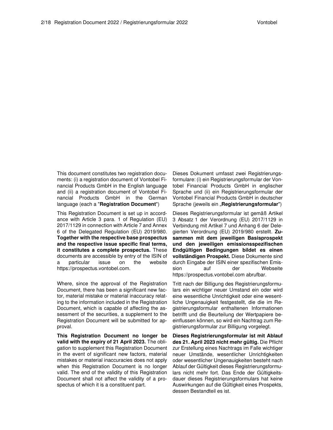This document constitutes two registration documents: (i) a registration document of Vontobel Financial Products GmbH in the English language and (ii) a registration document of Vontobel Financial Products GmbH in the German language (each a "**Registration Document**")

This Registration Document is set up in accordance with Article 3 para. 1 of Regulation (EU) 2017/1129 in connection with Article 7 and Annex 6 of the Delegated Regulation (EU) 2019/980. **Together with the respective base prospectus and the respective issue specific final terms, it constitutes a complete prospectus.** These documents are accessible by entry of the ISIN of a particular issue on the website https://prospectus.vontobel.com.

Where, since the approval of the Registration Document, there has been a significant new factor, material mistake or material inaccuracy relating to the information included in the Registration Document, which is capable of affecting the assessment of the securities, a supplement to the Registration Document will be submitted for approval.

**This Registration Document no longer be valid with the expiry of 21 April 2023.** The obligation to supplement this Registration Document in the event of significant new factors, material mistakes or material inaccuracies does not apply when this Registration Document is no longer valid. The end of the validity of this Registration Document shall not affect the validity of a prospectus of which it is a constituent part.

Dieses Dokument umfasst zwei Registrierungsformulare: (i) ein Registrierungsformular der Vontobel Financial Products GmbH in englischer Sprache und (ii) ein Registrierungsformular der Vontobel Financial Products GmbH in deutscher Sprache (jeweils ein "**Registrierungsformular**")

Dieses Registrierungsformular ist gemäß Artikel 3 Absatz 1 der Verordnung (EU) 2017/1129 in Verbindung mit Artikel 7 und Anhang 6 der Delegierten Verordnung (EU) 2019/980 erstellt. **Zusammen mit dem jeweiligen Basisprospekt und den jeweiligen emissionsspezifischen Endgültigen Bedingungen bildet es einen vollständigen Prospekt.** Diese Dokumente sind durch Eingabe der ISIN einer spezifischen Emission auf der Webseite https://prospectus.vontobel.com abrufbar.

Tritt nach der Billigung des Registrierungsformulars ein wichtiger neuer Umstand ein oder wird eine wesentliche Unrichtigkeit oder eine wesentliche Ungenauigkeit festgestellt, die die im Registrierungsformular enthaltenen Informationen betrifft und die Beurteilung der Wertpapiere beeinflussen können, so wird ein Nachtrag zum Registrierungsformular zur Billigung vorgelegt.

**Dieses Registrierungsformular ist mit Ablauf des 21. April 2023 nicht mehr gültig.** Die Pflicht zur Erstellung eines Nachtrags im Falle wichtiger neuer Umstände, wesentlicher Unrichtigkeiten oder wesentlicher Ungenauigkeiten besteht nach Ablauf der Gültigkeit dieses Registrierungsformulars nicht mehr fort. Das Ende der Gültigkeitsdauer dieses Registrierungsformulars hat keine Auswirkungen auf die Gültigkeit eines Prospekts, dessen Bestandteil es ist.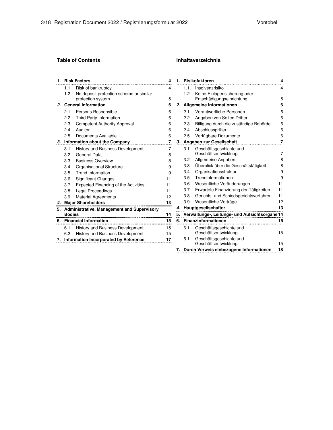### **Table of Contents**

| <b>Inhaltsverzeichnis</b> |  |
|---------------------------|--|
|                           |  |
|                           |  |

| 1. |               | <b>Risk Factors</b>                               | 4  |
|----|---------------|---------------------------------------------------|----|
|    | 1.1.          | Risk of bankruptcy                                | 4  |
|    | 1.2.          | No deposit protection scheme or similar           |    |
|    |               | protection system                                 | 5  |
| 2. |               | <b>General Information</b>                        | 6  |
|    | 2.1.          | Persons Responsible                               | 6  |
|    |               | 2.2. Third Party Information                      | 6  |
|    |               | 2.3. Competent Authority Approval                 | 6  |
|    | 2.4           | Auditor                                           | 6  |
|    |               | 2.5. Documents Available                          | 6  |
|    |               | 3. Information about the Company                  | 7  |
|    | 3.1.          | <b>History and Business Development</b>           | 7  |
|    | 3.2.          | General Data                                      | 8  |
|    |               | 3.3. Business Overview                            | 8  |
|    |               | 3.4. Organisational Structure                     | 9  |
|    |               | 3.5. Trend Information                            | 9  |
|    |               | 3.6. Significant Changes                          | 11 |
|    |               | 3.7. Expected Financing of the Activities         | 11 |
|    |               | 3.8. Legal Proceedings                            | 11 |
|    | 3.9.          | <b>Material Agreements</b>                        | 12 |
|    |               | 4. Major Shareholders                             | 13 |
| 5. |               | <b>Administrative, Management and Supervisory</b> |    |
|    | <b>Bodies</b> |                                                   | 14 |
|    |               | 6. Financial Information                          | 15 |
|    |               | 6.1. History and Business Development             | 15 |
|    | 6.2.          | <b>History and Business Development</b>           | 15 |
|    |               | 7. Information Incorporated by Reference          | 17 |

| 1. |      | Risikofaktoren                                 | 4  |
|----|------|------------------------------------------------|----|
|    | 1.1. | Insolvenzrisiko                                | 4  |
|    | 1.2. | Keine Einlagensicherung oder                   |    |
|    |      | Entschädigungseinrichtung                      | 5  |
| 2. |      | Allgemeine Informationen                       | 6  |
|    | 2.1  | Verantwortliche Personen                       | 6  |
|    | 2.2  | Angaben von Seiten Dritter                     | 6  |
|    | 2.3  | Billigung durch die zuständige Behörde         | 6  |
|    | 2.4  | Abschlussprüfer                                | 6  |
|    | 2.5  | Verfügbare Dokumente                           | 6  |
| 3. |      | Angaben zur Gesellschaft                       | 7  |
|    | 3.1  | Geschäftsgeschichte und                        |    |
|    |      | Geschäftsentwicklung                           | 7  |
|    | 3.2  | Allgemeine Angaben                             | 8  |
|    | 3.3  | Überblick über die Geschäftstätigkeit          | 8  |
|    | 3.4  | Organisationsstruktur                          | 9  |
|    | 3.5  | Trendinformationen                             | 9  |
|    | 3.6  | Wesentliche Veränderungen                      | 11 |
|    | 3.7  | Erwartete Finanzierung der Tätigkeiten         | 11 |
|    | 3.8  | Gerichts- und Schiedsgerichtsverfahren         | 11 |
|    | 3.9  | Wesentliche Verträge                           | 12 |
|    |      | 4. Hauptgesellschafter                         | 13 |
| 5. |      | Verwaltungs-, Leitungs- und Aufsichtsorgane 14 |    |
|    |      | 6. Finanzinformationen                         | 15 |
|    | 6.1  | Geschäftsgeschichte und                        |    |
|    |      | Geschäftsentwicklung                           | 15 |
|    | 6.1  | Geschäftsgeschichte und                        |    |
|    |      | Geschäftsentwicklung                           | 15 |
| 7. |      | Durch Verweis einbezogene Informationen        | 18 |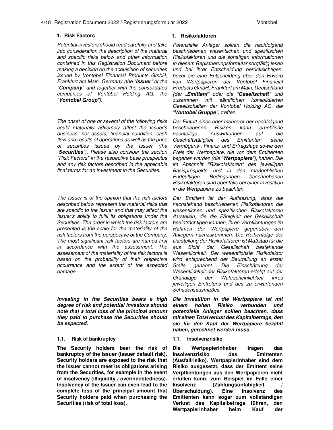#### 4/18 Registration Document 2022 / Registrierungsformular 2022 Vontobel

Potential investors should read carefully and take into consideration the description of the material and specific risks below and other information contained in this Registration Document before making a decision on the acquisition of securities issued by Vontobel Financial Products GmbH, Frankfurt am Main, Germany (the "**Issuer**" or the "**Company**" and together with the consolidated companies of Vontobel Holding AG, the "**Vontobel Group**").

The onset of one or several of the following risks could materially adversely affect the Issuer's business, net assets, financial condition, cash flow and results of operations as well as the price of securities issued by the Issuer (the "**Securities**"). Please also consider the section "Risk Factors" in the respective base prospectus and any risk factors described in the applicable final terms for an investment in the Securities.

The Issuer is of the opinion that the risk factors described below represent the material risks that are specific to the Issuer and that may affect the Issuer's ability to fulfil its obligations under the Securities. The order in which the risk factors are presented is the scale for the materiality of the risk factors from the perspective of the Company. The most significant risk factors are named first in accordance with the assessment. The assessment of the materiality of the risk factors is based on the probability of their respective occurrence and the extent of the expected damage.

**Investing in the Securities bears a high degree of risk and potential investors should note that a total loss of the principal amount they paid to purchase the Securities should be expected.**

#### **1.1. Risk of bankruptcy 1.1. Insolvenzrisiko**

**The Security holders bear the risk of bankruptcy of the Issuer (issuer default risk). Security holders are exposed to the risk that the Issuer cannot meet its obligations arising from the Securities, for example in the event of insolvency (illiquidity / overindebtedness). Insolvency of the Issuer can even lead to the complete loss of the principal amount that Security holders paid when purchasing the Securities (risk of total loss).**

#### **1. Risk Factors 1. Risikofaktoren**

Potenzielle Anleger sollten die nachfolgend beschriebenen wesentlichen und spezifischen Risikofaktoren und die sonstigen Informationen in diesem Registrierungsformular sorgfältig lesen und bei ihrer Entscheidung berücksichtigen, bevor sie eine Entscheidung über den Erwerb von Wertpapieren der Vontobel Financial Products GmbH, Frankfurt am Main, Deutschland (der "**Emittent**" oder die "**Gesellschaft**" und zusammen mit sämtlichen konsolidierten Gesellschaften der Vontobel Holding AG, die "**Vontobel Gruppe**") treffen.

Der Eintritt eines oder mehrerer der nachfolgend beschriebenen Risiken kann erhebliche nachteilige Auswirkungen auf die Geschäftstätigkeit des Emittenten, seine Vermögens-, Finanz- und Ertragslage sowie den Preis der Wertpapiere, die von dem Emittenten begeben werden (die "**Wertpapiere**"), haben. Die im Abschnitt "Risikofaktoren" des jeweiligen Basisprospekts und in den maßgeblichen Endgültigen Bedingungen beschriebenen Risikofaktoren sind ebenfalls bei einer Investition in die Wertpapiere zu beachten.

Der Emittent ist der Auffassung, dass die nachstehend beschriebenen Risikofaktoren die wesentlichen und spezifischen Risikofaktoren darstellen, die die Fähigkeit der Gesellschaft beeinträchtigen können, ihren Verpflichtungen im Rahmen der Wertpapiere gegenüber den Anlegern nachzukommen. Die Reihenfolge der Darstellung der Risikofaktoren ist Maßstab für die aus Sicht der Gesellschaft bestehende Wesentlichkeit. Der wesentlichste Risikofaktor wird entsprechend der Beurteilung an erster Stelle genannt. Die Einschätzung der Wesentlichkeit der Risikofaktoren erfolgt auf der Grundlage der Wahrscheinlichkeit ihres jeweiligen Eintretens und des zu erwartenden Schadensausmaßes.

**Die Investition in die Wertpapiere ist mit einem hohen Risiko verbunden und potenzielle Anleger sollten beachten, dass mit einen Totalverlust des Kapitalbetrags, den sie für den Kauf der Wertpapiere bezahlt haben, gerechnet werden muss**.

**Die Wertpapierinhaber tragen das Insolvenzrisiko des Emittenten (Ausfallrisiko). Wertpapierinhaber sind dem Risiko ausgesetzt, dass der Emittent seine Verpflichtungen aus den Wertpapieren nicht erfüllen kann, zum Beispiel im Falle einer Insolvenz (Zahlungsunfähigkeit / Überschuldung). Eine Insolvenz des Emittenten kann sogar zum vollständigen Verlust des Kapitalbetrags führen, den Wertpapierinhaber beim Kauf der**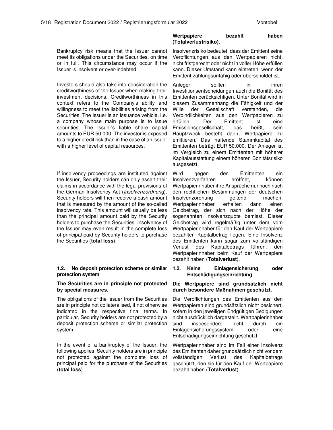Bankruptcy risk means that the Issuer cannot meet its obligations under the Securities, on time or in full. This circumstance may occur if the Issuer is insolvent or over-indebted.

Investors should also take into consideration the creditworthiness of the Issuer when making their investment decisions. Creditworthiness in this context refers to the Company's ability and willingness to meet the liabilities arising from the Securities. The Issuer is an issuance vehicle, i.e. a company whose main purpose is to issue securities. The Issuer's liable share capital amounts to EUR 50,000. The investor is exposed to a higher credit risk than in the case of an issuer with a higher level of capital resources.

If insolvency proceedings are instituted against the Issuer, Security holders can only assert their claims in accordance with the legal provisions of the German Insolvency Act (Insolvenzordnung). Security holders will then receive a cash amount that is measured by the amount of the so-called insolvency rate. This amount will usually be less than the principal amount paid by the Security holders to purchase the Securities. Insolvency of the Issuer may even result in the complete loss of principal paid by Security holders to purchase the Securities (**total loss**).

#### **1.2. No deposit protection scheme or similar protection system**

#### **The Securities are in principle not protected by special measures.**

The obligations of the Issuer from the Securities are in principle not collateralised, if not otherwise indicated in the respective final terms. In particular, Security holders are not protected by a deposit protection scheme or similar protection system.

In the event of a bankruptcy of the Issuer, the following applies: Security holders are in principle not protected against the complete loss of principal paid for the purchase of the Securities (**total loss**).

### **Wertpapiere bezahlt haben (Totalverlustrisiko).**

Insolvenzrisiko bedeutet, dass der Emittent seine Verpflichtungen aus den Wertpapieren nicht, nicht fristgerecht oder nicht in voller Höhe erfüllen kann. Dieser Umstand kann eintreten, wenn der Emittent zahlungsunfähig oder überschuldet ist.

Anleger sollten in ihren Investitionsentscheidungen auch die Bonität des Emittenten berücksichtigen. Unter Bonität wird in diesem Zusammenhang die Fähigkeit und der Wille der Gesellschaft verstanden, die Verbindlichkeiten aus den Wertpapieren zu erfüllen. Der Emittent ist eine Emissionsgesellschaft, das heißt, sein Hauptzweck besteht darin, Wertpapiere zu emittieren. Das haftende Stammkapital des Emittenten beträgt EUR 50.000. Der Anleger ist im Vergleich zu einem Emittenten mit höherer Kapitalausstattung einem höheren Bonitätsrisiko ausgesetzt.

Wird gegen den Emittenten ein Insolvenzverfahren eröffnet, können Wertpapierinhaber ihre Ansprüche nur noch nach den rechtlichen Bestimmungen der deutschen Insolvenzordnung geltend machen. Wertpapierinhaber erhalten dann einen Geldbetrag, der sich nach der Höhe der sogenannten Insolvenzquote bemisst. Dieser Geldbetrag wird regelmäßig unter dem vom Wertpapierinhaber für den Kauf der Wertpapiere bezahlten Kapitalbetrag liegen. Eine Insolvenz des Emittenten kann sogar zum vollständigen Verlust des Kapitalbetrags führen, den Wertpapierinhaber beim Kauf der Wertpapiere bezahlt haben (**Totalverlust**).

### **1.2. Keine Einlagensicherung oder Entschädigungseinrichtung**

### **Die Wertpapiere sind grundsätzlich nicht durch besondere Maßnahmen geschützt.**

Die Verpflichtungen des Emittenten aus den Wertpapieren sind grundsätzlich nicht besichert, sofern in den jeweiligen Endgültigen Bedigungen nicht ausdrücklich dargestellt. Wertpapierinhaber sind insbesondere nicht durch ein Einlagensicherungssystem oder eine Entschädigungseinrichtung geschützt.

Wertpapierinhaber sind im Fall einer Insolvenz des Emittenten daher grundsätzlich nicht vor dem vollständigen Verlust des Kapitalbetrags geschützt, den sie für den Kauf der Wertpapiere bezahlt haben (**Totalverlust**).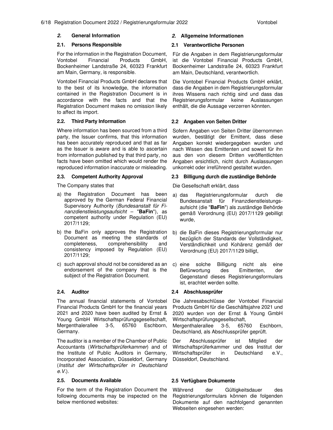For the information in the Registration Document, Vontobel Financial Products GmbH, Bockenheimer Landstraße 24, 60323 Frankfurt am Main, Germany, is responsible.

Vontobel Financial Products GmbH declares that to the best of its knowledge, the information contained in the Registration Document is in accordance with the facts and that the Registration Document makes no omission likely to affect its import.

Where information has been sourced from a third party, the Issuer confirms, that this information has been accurately reproduced and that as far as the Issuer is aware and is able to ascertain from information published by that third party, no facts have been omitted which would render the reproduced information inaccurate or misleading.

The Company states that

- a) the Registration Document has been approved by the German Federal Financial Supervisory Authority (Bundesanstalt für Finanzdienstleistungsaufsicht – "**BaFin**"), as competent authority under Regulation (EU) 2017/1129;
- b) the BaFin only approves the Registration Document as meeting the standards of completeness, comprehensibility and consistency imposed by Regulation (EU) 2017/1129;
- c) such approval should not be considered as an endorsement of the company that is the subject of the Registration Document.

The annual financial statements of Vontobel Financial Products GmbH for the financial years 2021 and 2020 have been audited by Ernst & Young GmbH Wirtschaftsprüfungsgesellschaft, Mergenthalerallee 3-5, 65760 Eschborn, Germany.

The auditor is a member of the Chamber of Public Accountants (Wirtschaftsprüferkammer) and of the Institute of Public Auditors in Germany, Incorporated Association, Düsseldorf, Germany (Institut der Wirtschaftsprüfer in Deutschland  $e.V.$ ).

### **2.5. Documents Available 2.5 Verfügbare Dokumente**

For the term of the Registration Document the following documents may be inspected on the below mentioned websites:

#### **2. General Information 2. Allgemeine Informationen**

### **2.1. Persons Responsible 2.1 Verantwortliche Personen**

Für die Angaben in dem Registrierungsformular ist die Vontobel Financial Products GmbH, Bockenheimer Landstraße 24, 60323 Frankfurt am Main, Deutschland, verantwortlich.

Die Vontobel Financial Products GmbH erklärt, dass die Angaben in dem Registrierungsformular ihres Wissens nach richtig sind und dass das Registrierungsformular keine Auslassungen enthält, die die Aussage verzerren könnten.

### **2.2. Third Party Information 2.2 Angaben von Seiten Dritter**

Sofern Angaben von Seiten Dritter übernommen wurden, bestätigt der Emittent, dass diese Angaben korrekt wiedergegeben wurden und nach Wissen des Emittenten und soweit für ihn aus den von diesem Dritten veröffentlichten Angaben ersichtlich, nicht durch Auslassungen unkorrekt oder irreführend gestaltet wurden.

### **2.3. Competent Authority Approval 2.3 Billigung durch die zuständige Behörde**

Die Gesellschaft erklärt, dass

- a) das Registrierungsformular durch die Bundesanstalt für Finanzdienstleistungsaufsicht (die "**BaFin**") als zuständige Behörde gemäß Verordnung (EU) 2017/1129 gebilligt wurde,
- b) die BaFin dieses Registrierungsformular nur bezüglich der Standards der Vollständigkeit, Verständlichkeit und Kohärenz gemäß der Verordnung (EU) 2017/1129 billigt,
- c) eine solche Billigung nicht als eine Befürwortung des Emittenten, der Gegenstand dieses Registrierungsformulars ist, erachtet werden sollte.

#### **2.4. Auditor 2.4 Abschlussprüfer**

Die Jahresabschlüsse der Vontobel Financial Products GmbH für die Geschäftsjahre 2021 und 2020 wurden von der Ernst & Young GmbH Wirtschaftsprüfungsgesellschaft,

Mergenthalerallee 3-5, 65760 Eschborn, Deutschland, als Abschlussprüfer geprüft.

Der Abschlussprüfer ist Mitglied der Wirtschaftsprüferkammer und des Institut der Wirtschaftsprüfer in Deutschland e.V., Düsseldorf, Deutschland.

Während der Gültigkeitsdauer des Registrierungsformulars können die folgenden Dokumente auf den nachfolgend genannten Webseiten eingesehen werden: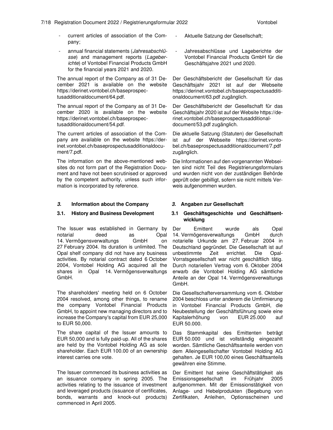- current articles of association of the Company;
- annual financial statements (Jahresabschlüsse) and management reports (Lageberichte) of Vontobel Financial Products GmbH for the financial years 2021 and 2020.

The annual report of the Company as of 31 December 2021 is available on the website https://derinet.vontobel.ch/baseprospectusadditionaldocument/64.pdf.

The annual report of the Company as of 31 December 2020 is available on the website https://derinet.vontobel.ch/baseprospectusadditionaldocument/54.pdf.

The current articles of association of the Company are available on the website https://derinet.vontobel.ch/baseprospectusadditionaldocument/7.pdf.

The information on the above-mentioned websites do not form part of the Registration Document and have not been scrutinised or approved by the competent authority, unless such information is incorporated by reference.

### **3. Information about the Company 3. Angaben zur Gesellschaft**

The Issuer was established in Germany by notarial deed as Opal 14. Vermögensverwaltungs GmbH on 27 February 2004. Its duration is unlimited. The Opal shelf company did not have any business activities. By notarial contract dated 6 October 2004, Vontobel Holding AG acquired all the shares in Opal 14. Vermögensverwaltungs GmbH.

The shareholders' meeting held on 6 October 2004 resolved, among other things, to rename the company Vontobel Financial Products GmbH, to appoint new managing directors and to increase the Company's capital from EUR 25,000 to EUR 50,000.

The share capital of the Issuer amounts to EUR 50,000 and is fully paid-up. All of the shares are held by the Vontobel Holding AG as sole shareholder. Each EUR 100.00 of an ownership interest carries one vote.

The Issuer commenced its business activities as an issuance company in spring 2005. The activities relating to the issuance of investment and leveraged products (issuance of certificates, bonds, warrants and knock-out products) commenced in April 2005.

- Aktuelle Satzung der Gesellschaft;
- Jahresabschlüsse und Lageberichte der Vontobel Financial Products GmbH für die Geschäftsjahre 2021 und 2020.

Der Geschäftsbericht der Gesellschaft für das Geschäftsjahr 2021 ist auf der Webseite https://derinet.vontobel.ch/baseprospectusadditionaldocument/63.pdf zugänglich.

Der Geschäftsbericht der Gesellschaft für das Geschäftsjahr 2020 ist auf der Website https://derinet.vontobel.ch/baseprospectusadditionaldocument/53.pdf zugänglich.

Die aktuelle Satzung (Statuten) der Gesellschaft ist auf der Webseite https://derinet.vontobel.ch/baseprospectusadditionaldocument/7.pdf zugänglich.

Die Informationen auf den vorgenannten Webseiten sind nicht Teil des Registrierungsformulars und wurden nicht von der zuständigen Behörde geprüft oder gebilligt, sofern sie nicht mittels Verweis aufgenommen wurden.

### **3.1. History and Business Development 3.1 Geschäftsgeschichte und Geschäftsentwicklung**

Der Emittent wurde als Opal 14. Vermögensverwaltungs GmbH durch notarielle Urkunde am 27. Februar 2004 in Deutschland gegründet. Die Gesellschaft ist auf unbestimmte Zeit errichtet. Die Opal-Vorratsgesellschaft war nicht geschäftlich tätig. Durch notariellen Vertrag vom 6. Oktober 2004 erwarb die Vontobel Holding AG sämtliche Anteile an der Opal 14. Vermögensverwaltungs GmbH.

Die Gesellschafterversammlung vom 6. Oktober 2004 beschloss unter anderem die Umfirmierung in Vontobel Financial Products GmbH, die Neubestellung der Geschäftsführung sowie eine Kapitalerhöhung von EUR 25.000 auf EUR 50.000.

Das Stammkapital des Emittenten beträgt EUR 50.000 und ist vollständig eingezahlt worden. Sämtliche Geschäftsanteile werden von dem Alleingesellschafter Vontobel Holding AG gehalten. Je EUR 100,00 eines Geschäftsanteils gewähren eine Stimme.

Der Emittent hat seine Geschäftstätigkeit als Emissionsgesellschaft im Frühjahr 2005 aufgenommen. Mit der Emissionstätigkeit von Anlage- und Hebelprodukten (Begebung von Zertifikaten, Anleihen, Optionsscheinen und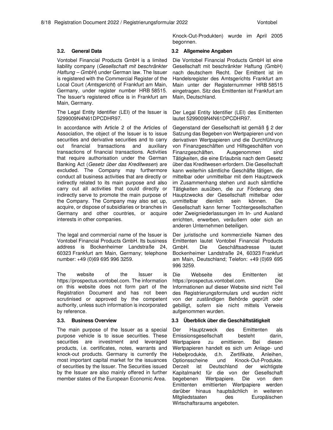Knock-Out-Produkten) wurde im April 2005 begonnen.

Vontobel Financial Products GmbH is a limited liability company (Gesellschaft mit beschränkter Haftung – GmbH) under German law. The Issuer is registered with the Commercial Register of the Local Court (Amtsgericht) of Frankfurt am Main. Germany, under register number HRB 58515. The Issuer's registered office is in Frankfurt am Main, Germany.

The Legal Entity Identifier (LEI) of the Issuer is 5299009N4N61DPCDHR97.

In accordance with Article 2 of the Articles of Association, the object of the Issuer is to issue securities and derivative securities and to carry out financial transactions and auxiliary transactions of financial transactions. Activities that require authorisation under the German Banking Act (Gesetz über das Kreditwesen) are excluded. The Company may furthermore conduct all business activities that are directly or indirectly related to its main purpose and also carry out all activities that could directly or indirectly serve to promote the main purpose of the Company. The Company may also set up, acquire, or dispose of subsidiaries or branches in Germany and other countries, or acquire interests in other companies.

The legal and commercial name of the Issuer is Vontobel Financial Products GmbH. Its business address is Bockenheimer Landstraße 24, 60323 Frankfurt am Main, Germany; telephone number: +49 (0)69 695 996 3259.

The website of the Issuer is https://prospectus.vontobel.com. The information on this website does not form part of the Registration Document and has not been scrutinised or approved by the competent authority, unless such information is incorporated by reference.

The main purpose of the Issuer as a special purpose vehicle is to issue securities. These securities are investment and leveraged products, i.e. certificates, notes, warrants and knock-out products. Germany is currently the most important capital market for the issuances of securities by the Issuer. The Securities issued by the Issuer are also mainly offered in further member states of the European Economic Area.

### **3.2. General Data 3.2 Allgemeine Angaben**

Die Vontobel Financial Products GmbH ist eine Gesellschaft mit beschränkter Haftung (GmbH) nach deutschem Recht. Der Emittent ist im Handelsregister des Amtsgerichts Frankfurt am Main unter der Registernummer HRB 58515 eingetragen. Sitz des Emittenten ist Frankfurt am Main, Deutschland.

Der Legal Entity Identifier (LEI) des Emittenten lautet 5299009N4N61DPCDHR97.

Gegenstand der Gesellschaft ist gemäß § 2 der Satzung das Begeben von Wertpapieren und von derivativen Wertpapieren und die Durchführung von Finanzgeschäften und Hilfsgeschäften von Finanzgeschäften. Ausgenommen sind Tätigkeiten, die eine Erlaubnis nach dem Gesetz über das Kreditwesen erfordern. Die Gesellschaft kann weiterhin sämtliche Geschäfte tätigen, die mittelbar oder unmittelbar mit dem Hauptzweck im Zusammenhang stehen und auch sämtliche Tätigkeiten ausüben, die zur Förderung des Hauptzwecks der Gesellschaft mittelbar oder unmittelbar dienlich sein können. Die Gesellschaft kann ferner Tochtergesellschaften oder Zweigniederlassungen im In- und Ausland errichten, erwerben, veräußern oder sich an anderen Unternehmen beteiligen.

Der juristische und kommerzielle Namen des Emittenten lautet Vontobel Financial Products GmbH. Die Geschäftsadresse lautet Bockenheimer Landstraße 24, 60323 Frankfurt am Main, Deutschland; Telefon: +49 (0)69 695 996 3259.

Die Webseite des Emittenten ist https://prospectus.vontobel.com. Die Informationen auf dieser Website sind nicht Teil des Registrierungsformulars und wurden nicht von der zuständigen Behörde geprüft oder gebilligt, sofern sie nicht mittels Verweis aufgenommen wurden.

### **3.3. Business Overview 3.3 Überblick über die Geschäftstätigkeit**

Der Hauptzweck des Emittenten als Emissionsgesellschaft besteht darin, Wertpapiere zu emittieren. Bei diesen Wertpapieren handelt es sich um Anlage- und Hebelprodukte, d.h. Zertifikate, Anleihen, Optionsscheine und Knock-Out-Produkte. Derzeit ist Deutschland der wichtigste Kapitalmarkt für die von der Gesellschaft begebenen Wertpapiere. Die von dem Emittenten emittierten Wertpapiere werden darüber hinaus hauptsächlich in weiteren Mitgliedstaaten des Europäischen Wirtschaftsraums angeboten.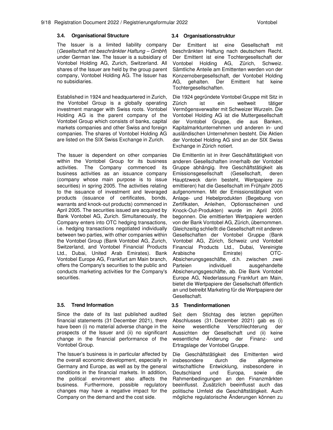### **3.4. Organisational Structure 3.4 Organisationsstruktur**

The Issuer is a limited liability company (Gesellschaft mit beschränkter Haftung – GmbH) under German law. The Issuer is a subsidiary of Vontobel Holding AG, Zurich, Switzerland. All shares of the Issuer are held by the group parent company, Vontobel Holding AG. The Issuer has no subsidiaries.

Established in 1924 and headquartered in Zurich, the Vontobel Group is a globally operating investment manager with Swiss roots. Vontobel Holding AG is the parent company of the Vontobel Group which consists of banks, capital markets companies and other Swiss and foreign companies. The shares of Vontobel Holding AG are listed on the SIX Swiss Exchange in Zurich.

The Issuer is dependent on other companies within the Vontobel Group for its business activities. The Company commenced its business activities as an issuance company (company whose main purpose is to issue securities) in spring 2005. The activities relating to the issuance of investment and leveraged products (issuance of certificates, bonds, warrants and knock-out products) commenced in April 2005. The securities issued are acquired by Bank Vontobel AG, Zurich. Simultaneously, the Company enters into OTC hedging transactions, i.e. hedging transactions negotiated individually between two parties, with other companies within the Vontobel Group (Bank Vontobel AG, Zurich, Switzerland, and Vontobel Financial Products Ltd., Dubai, United Arab Emirates). Bank Vontobel Europe AG, Frankfurt am Main branch, offers the Company's securities to the public and conducts marketing activities for the Company's securities.

Since the date of its last published audited financial statements (31 December 2021), there have been (i) no material adverse change in the prospects of the Issuer and (ii) no significant change in the financial performance of the Vontobel Group.

The Issuer's business is in particular affected by the overall economic development, especially in Germany and Europe, as well as by the general conditions in the financial markets. In addition, the political environment also affects the business. Furthermore, possible regulatory changes may have a negative impact for the Company on the demand and the cost side.

Der Emittent ist eine Gesellschaft mit beschränkten Haftung nach deutschem Recht. Der Emittent ist eine Tochtergesellschaft der Vontobel Holding AG, Zürich, Schweiz. Sämtliche Anteile am Emittenten werden von der Konzernobergesellschaft, der Vontobel Holding AG, gehalten. Der Emittent hat keine Tochtergesellschaften.

Die 1924 gegründete Vontobel Gruppe mit Sitz in Zürich ist ein weltweit tätiger Vermögensverwalter mit Schweizer Wurzeln. Die Vontobel Holding AG ist die Muttergesellschaft der Vontobel Gruppe, die aus Banken, Kapitalmarktunternehmen und anderen in- und ausländischen Unternehmen besteht. Die Aktien der Vontobel Holding AG sind an der SIX Swiss Exchange in Zürich notiert.

Die Emittentin ist in ihrer Geschäftstätigkeit von anderen Gesellschaften innerhalb der Vontobel Gruppe abhängig. Ihre Geschäftstätigkeit als Emissionsgesellschaft (Gesellschaft, deren Hauptzweck darin besteht, Wertpapiere zu emittieren) hat die Gesellschaft im Frühjahr 2005 aufgenommen. Mit der Emissionstätigkeit von Anlage- und Hebelprodukten (Begebung von Zertifikaten, Anleihen, Optionsscheinen und Knock-Out-Produkten) wurde im April 2005 begonnen. Die emittierten Wertpapiere werden von der Bank Vontobel AG, Zürich, übernommen. Gleichzeitig schließt die Gesellschaft mit anderen Gesellschaften der Vontobel Gruppe (Bank Vontobel AG, Zürich, Schweiz und Vontobel Financial Products Ltd., Dubai, Vereinigte Arabische Emirate) OTC-Absicherungsgeschäfte, d.h. zwischen zwei Parteien individuell ausgehandelte Absicherungsgeschäfte, ab. Die Bank Vontobel Europe AG, Niederlassung Frankfurt am Main, bietet die Wertpapiere der Gesellschaft öffentlich an und betreibt Marketing für die Wertpapiere der Gesellschaft.

### **3.5. Trend Information 3.5 Trendinformationen**

Seit dem Stichtag des letzten geprüften Abschlusses (31. Dezember 2021) gab es (i) keine wesentliche Verschlechterung der Aussichten der Gesellschaft und (ii) keine wesentliche Änderung der Finanz- und Ertragslage der Vontobel Gruppe.

Die Geschäftstätigkeit des Emittenten wird insbesondere durch die allgemeine wirtschaftliche Entwicklung, insbesondere in Deutschland und Europa, sowie die Rahmenbedingungen an den Finanzmärkten beeinflusst. Zusätzlich beeinflusst auch das politische Umfeld die Geschäftstätigkeit. Auch mögliche regulatorische Änderungen können zu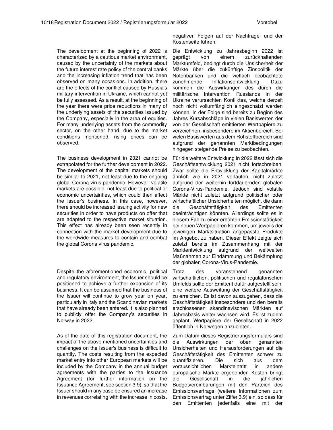The development at the beginning of 2022 is characterized by a cautious market environment, caused by the uncertainty of the markets about the future interest rate policy of the central banks and the increasing inflation trend that has been observed on many occasions. In addition, there are the effects of the conflict caused by Russia's military intervention in Ukraine, which cannot yet be fully assessed. As a result, at the beginning of the year there were price reductions in many of the underlying assets of the securities issued by the Company, especially in the area of equities. For many underlying assets from the commodity sector, on the other hand, due to the market conditions mentioned, rising prices can be observed.

The business development in 2021 cannot be extrapolated for the further development in 2022. The development of the capital markets should be similar to 2021, not least due to the ongoing global Corona virus pandemic. However, volatile markets are possible, not least due to political or economic uncertainties, which could then affect the Issuer's business. In this case, however, there should be increased issuing activity for new securities in order to have products on offer that are adapted to the respective market situation. This effect has already been seen recently in connection with the market development due to the worldwide measures to contain and combat the global Corona virus pandemic.

Despite the aforementioned economic, political and regulatory environment, the Issuer should be positioned to achieve a further expansion of its business. It can be assumed that the business of the Issuer will continue to grow year on year, particularly in Italy and the Scandinavian markets that have already been entered. It is also planned to publicly offer the Company's securities in Norway in 2022.

As of the date of this registration document, the impact of the above mentioned uncertainties and challenges on the Issuer's business is difficult to quantify. The costs resulting from the expected market entry into other European markets will be included by the Company in the annual budget agreements with the parties to the Issuance Agreement (for further information on the Issuance Agreement, see section 3.9), so that the Issuer should in any case be ensured an increase in revenues correlating with the increase in costs.

negativen Folgen auf der Nachfrage- und der Kostenseite führen.

Die Entwicklung zu Jahresbeginn 2022 ist geprägt von einem zurückhaltenden Marktumfeld, bedingt durch die Unsicherheit der Märkte über die zukünftige Zinspolitik der Notenbanken und die vielfach beobachtete zunehmende Inflationsentwicklung. Dazu kommen die Auswirkungen des durch die militärische Intervention Russlands in der Ukraine verursachten Konfliktes, welche derzeit noch nicht vollumfänglich eingeschätzt werden können. In der Folge sind bereits zu Beginn des Jahres Kursabschläge in vielen Basiswerten der von der Gesellschaft emittierten Wertpapiere zu verzeichnen, insbesondere im Aktienbereich. Bei vielen Basiswerten aus dem Rohstoffbereich sind aufgrund der genannten Marktbedingungen hingegen steigende Preise zu beobachten.

Für die weitere Entwicklung in 2022 lässt sich die Geschäftsentwicklung 2021 nicht fortschreiben. Zwar sollte die Entwicklung der Kapitalmärkte ähnlich wie in 2021 verlaufen, nicht zuletzt aufgrund der weiterhin fortdauernden globalen Corona-Virus-Pandemie. Jedoch sind volatile Märkte nicht zuletzt aufgrund politischer oder wirtschaftlicher Unsicherheiten möglich, die dann die Geschäftstätigkeit des Emittenten beeinträchtigen könnten. Allerdings sollte es in diesem Fall zu einer erhöhten Emissionstätigkeit bei neuen Wertpapieren kommen, um jeweils der jeweiligen Marktsituation angepasste Produkte im Angebot zu haben. Dieser Effekt zeigte sich zuletzt bereits im Zusammenhang mit der Marktentwicklung aufgrund der weltweiten Maßnahmen zur Eindämmung und Bekämpfung der globalen Corona-Virus-Pandemie.

Trotz des voranstehend genannten wirtschaftlichen, politischen und regulatorischen Umfelds sollte der Emittent dafür aufgestellt sein, eine weitere Ausweitung der Geschäftstätigkeit zu erreichen. Es ist davon auszugehen, dass die Geschäftstätigkeit insbesondere und den bereits erschlossenen skandinavischen Märkten auf Jahresbasis weiter wachsen wird. Es ist zudem geplant, Wertpapiere der Gesellschaft in 2022 öffentlich in Norwegen anzubieten.

Zum Datum dieses Registrierungsformulars sind die Auswirkungen der oben genannten Unsicherheiten und Herausforderungen auf die Geschäftstätigkeit des Emittenten schwer zu quantifizieren. Die sich aus dem voraussichtlichen Markteintritt in andere europäische Märkte ergebenden Kosten bringt die Gesellschaft in die jährlichen Budgetvereinbarungen mit den Parteien des Emissionsvertrags (weitere Informationen zum Emissionsvertrag unter Ziffer 3.9) ein, so dass für den Emittenten jedenfalls eine mit der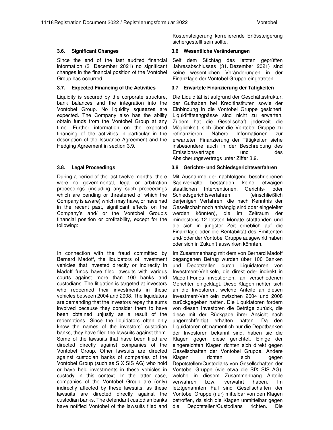Since the end of the last audited financial information (31 December 2021) no significant changes in the financial position of the Vontobel Group has occurred.

Liquidity is secured by the corporate structure, bank balances and the integration into the Vontobel Group. No liquidity squeezes are expected. The Company also has the ability obtain funds from the Vontobel Group at any time. Further information on the expected financing of the activities in particular in the description of the Issuance Agreement and the Hedging Agreement in section 3.9.

During a period of the last twelve months, there were no governmental, legal or arbitration proceedings (including any such proceedings which are pending or threatened of which the Company is aware) which may have, or have had in the recent past, significant effects on the Company's and/ or the Vontobel Group's financial position or profitability, except for the following:

In connection with the fraud committed by Bernard Madoff, the liquidators of investment vehicles that invested directly or indirectly in Madoff funds have filed lawsuits with various courts against more than 100 banks and custodians. The litigation is targeted at investors who redeemed their investments in these vehicles between 2004 and 2008. The liquidators are demanding that the investors repay the sums involved because they consider them to have been obtained unjustly as a result of the redemptions. Since the liquidators often only know the names of the investors' custodian banks, they have filed the lawsuits against them. Some of the lawsuits that have been filed are directed directly against companies of the Vontobel Group. Other lawsuits are directed against custodian banks of companies of the Vontobel Group (such as SIX SIS AG) who hold or have held investments in these vehicles in custody in this context. In the latter case, companies of the Vontobel Group are (only) indirectly affected by these lawsuits, as these lawsuits are directed directly against the custodian banks. The defendant custodian banks have notified Vontobel of the lawsuits filed and

Kostensteigerung korrelierende Erlössteigerung sichergestellt sein sollte.

#### **3.6. Significant Changes 3.6 Wesentliche Veränderungen**

Seit dem Stichtag des letzten geprüften Jahresabschlusses (31. Dezember 2021) sind keine wesentlichen Veränderungen in der Finanzlage der Vontobel Gruppe eingetreten.

### **3.7. Expected Financing of the Activities 3.7 Erwartete Finanzierung der Tätigkeiten**

Die Liquidität ist aufgrund der Geschäftsstruktur, der Guthaben bei Kreditinstituten sowie der Einbindung in die Vontobel Gruppe gesichert. Liquiditätsengpässe sind nicht zu erwarten. Zudem hat die Gesellschaft jederzeit die Möglichkeit, sich über die Vontobel Gruppe zu refinanzieren. Nähere Informationen zur erwarteten Finanzierung der Tätigkeiten siehe insbesondere auch in der Beschreibung des Emissionsvertrags und des Absicherungsvertrags unter Ziffer 3.9.

### **3.8. Legal Proceedings 3.8 Gerichts- und Schiedsgerichtsverfahren**

Mit Ausnahme der nachfolgend beschriebenen Sachverhalte bestanden keine etwaigen staatlichen Interventionen, Gerichts- oder Schiedsgerichtsverfahren (einschließlich derjenigen Verfahren, die nach Kenntnis der Gesellschaft noch anhängig sind oder eingeleitet werden könnten), die im Zeitraum der mindestens 12 letzten Monate stattfanden und die sich in jüngster Zeit erheblich auf die Finanzlage oder die Rentabilität des Emittenten und/ oder der Vontobel Gruppe ausgewirkt haben oder sich in Zukunft auswirken könnten.

Im Zusammenhang mit dem von Bernard Madoff begangenen Betrug wurden über 100 Banken und Depotstellen durch Liquidatoren von Investment-Vehikeln, die direkt oder indirekt in Madoff-Fonds investierten, an verschiedenen Gerichten eingeklagt. Diese Klagen richten sich an die Investoren, welche Anteile an diesen Investment-Vehikeln zwischen 2004 und 2008 zurückgegeben hatten. Die Liquidatoren fordern von diesen Investoren die Beträge zurück, die diese mit der Rückgabe ihrer Ansicht nach ungerechtfertigt erhalten hätten. Da den Liquidatoren oft namentlich nur die Depotbanken der Investoren bekannt sind, haben sie die Klagen gegen diese gerichtet. Einige der eingereichten Klagen richten sich direkt gegen Gesellschaften der Vontobel Gruppe. Andere Klagen richten sich gegen Depotstellen/Custodians von Gesellschaften der Vontobel Gruppe (wie etwa die SIX SIS AG), welche in diesem Zusammenhang Anteile verwahren bzw. verwahrt haben. Im letztgenannten Fall sind Gesellschaften der Vontobel Gruppe (nur) mittelbar von den Klagen betroffen, da sich die Klagen unmittelbar gegen die Depotstellen/Custodians richten. Die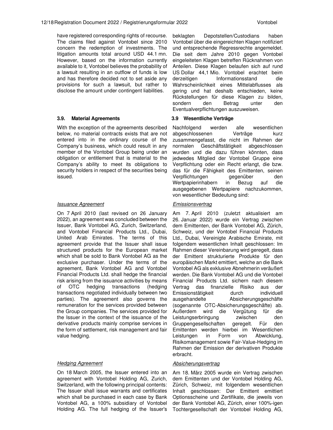have registered corresponding rights of recourse. The claims filed against Vontobel since 2010 concern the redemption of investments. The litigation amounts total around USD 44.1 mn. However, based on the information currently available to it, Vontobel believes the probability of a lawsuit resulting in an outflow of funds is low and has therefore decided not to set aside any provisions for such a lawsuit, but rather to disclose the amount under contingent liabilities.

#### **3.9. Material Agreements 3.9 Wesentliche Verträge**

With the exception of the agreements described below, no material contracts exists that are not entered into in the ordinary course of the Company's business, which could result in any member of the Vontobel Group being under an obligation or entitlement that is material to the Company's ability to meet its obligations to security holders in respect of the securities being issued.

#### Issuance Agreement

On 7 April 2010 (last revised on 26 January 2022), an agreement was concluded between the Issuer, Bank Vontobel AG, Zurich, Switzerland, and Vontobel Financial Products Ltd., Dubai, United Arab Emirates. The terms of this agreement provide that the Issuer shall issue structured products for the European market which shall be sold to Bank Vontobel AG as the exclusive purchaser. Under the terms of the agreement, Bank Vontobel AG and Vontobel Financial Products Ltd. shall hedge the financial risk arising from the issuance activities by means of OTC hedging transactions (hedging transactions negotiated individually between two parties). The agreement also governs the remuneration for the services provided between the Group companies. The services provided for the Issuer in the context of the issuance of the derivative products mainly comprise services in the form of settlement, risk management and fair value hedging.

#### **Hedging Agreement**

On 18 March 2005, the Issuer entered into an agreement with Vontobel Holding AG, Zurich, Switzerland, with the following principal contents: The Issuer shall issue warrants and certificates which shall be purchased in each case by Bank Vontobel AG, a 100% subsidiary of Vontobel Holding AG. The full hedging of the Issuer's

beklagten Depotstellen/Custodians haben Vontobel über die eingereichten Klagen notifiziert und entsprechende Regressrechte angemeldet. Die seit dem Jahre 2010 gegen Vontobel eingeleiteten Klagen betreffen Rücknahmen von Anteilen. Diese Klagen belaufen sich auf rund US Dollar 44,1 Mio. Vontobel erachtet beim derzeitigen Informationsstand die Wahrscheinlichkeit eines Mittelabflusses als gering und hat deshalb entschieden, keine Rückstellungen für diese Klagen zu bilden, sondern den Betrag unter den Eventualverpflichtungen auszuweisen.

Nachfolgend werden alle wesentlichen abgeschlossenen Verträge kurz zusammengefasst, die nicht im Rahmen der normalen Geschäftstätigkeit abgeschlossen wurden und die dazu führen könnten, dass jedwedes Mitglied der Vontobel Gruppe eine Verpflichtung oder ein Recht erlangt, die bzw. das für die Fähigkeit des Emittenten, seinen Verpflichtungen gegenüber den Wertpapierinhabern in Bezug auf die ausgegebenen Wertpapiere nachzukommen, von wesentlicher Bedeutung sind:

#### **Emissionsvertrag**

Am 7. April 2010 (zuletzt aktualisiert am 26. Januar 2022) wurde ein Vertrag zwischen dem Emittenten, der Bank Vontobel AG, Zürich, Schweiz, und der Vontobel Financial Products Ltd., Dubai, Vereinigte Arabische Emirate, mit folgendem wesentlichen Inhalt geschlossen: Im Rahmen dieser Vereinbarung wird geregelt, dass der Emittent strukturierte Produkte für den europäischen Markt emittiert, welche an die Bank Vontobel AG als exklusive Abnehmerin veräußert werden. Die Bank Vontobel AG und die Vontobel Financial Products Ltd. sichern nach diesem Vertrag das finanzielle Risiko aus der Emissionstätigkeit durch individuell ausgehandelte Absicherungsgeschäfte (sogenannte OTC-Absicherungsgeschäfte) ab. Außerdem wird die Vergütung für die Leistungserbringung zwischen den Gruppengesellschaften geregelt. Für den Emittenten werden hierbei im Wesentlichen Leistungen in Form von Abwicklung, Risikomanagement sowie Fair-Value-Hedging im Rahmen der Emission der derivativen Produkte erbracht.

#### Absicherungsvertrag

Am 18. März 2005 wurde ein Vertrag zwischen dem Emittenten und der Vontobel Holding AG, Zürich, Schweiz, mit folgendem wesentlichen Inhalt geschlossen: Der Emittent emittiert Optionsscheine und Zertifikate, die jeweils von der Bank Vontobel AG, Zürich, einer 100%-igen Tochtergesellschaft der Vontobel Holding AG,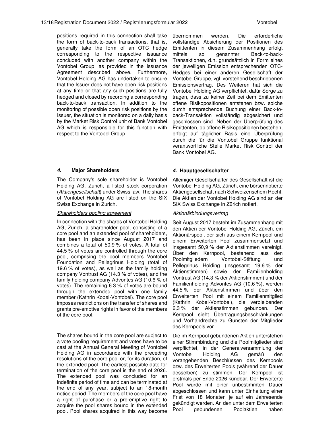positions required in this connection shall take the form of back-to-back transactions, that is, generally take the form of an OTC hedge corresponding to the respective issuance concluded with another company within the Vontobel Group, as provided in the Issuance Agreement described above. Furthermore, Vontobel Holding AG has undertaken to ensure that the Issuer does not have open risk positions at any time or that any such positions are fully hedged and closed by recording a corresponding back-to-back transaction. In addition to the monitoring of possible open risk positions by the Issuer, the situation is monitored on a daily basis by the Market Risk Control unit of Bank Vontobel AG which is responsible for this function with respect to the Vontobel Group.

### **4. Major Shareholders 4. Hauptgesellschafter**

The Company's sole shareholder is Vontobel Holding AG, Zurich, a listed stock corporation (Aktiengesellschaft) under Swiss law. The shares of Vontobel Holding AG are listed on the SIX Swiss Exchange in Zurich.

#### Shareholders pooling agreement

In connection with the shares of Vontobel Holding AG, Zurich, a shareholder pool, consisting of a core pool and an extended pool of shareholders, has been in place since August 2017 and combines a total of 50.9 % of votes. A total of 44.5 % of votes are controlled through the core pool, comprising the pool members Vontobel Foundation and Pellegrinus Holding (total of 19.6 % of votes), as well as the family holding company Vontrust AG (14.3 % of votes), and the family holding company Advontes AG (10.6 % of votes). The remaining 6.3 % of votes are bound through the extended pool with one family member (Kathrin Kobel-Vontobel). The core pool imposes restrictions on the transfer of shares and grants pre-emptive rights in favor of the members of the core pool.

The shares bound in the core pool are subject to a vote pooling requirement and votes have to be cast at the Annual General Meeting of Vontobel Holding AG in accordance with the preceding resolutions of the core pool or, for its duration, of the extended pool. The earliest possible date for termination of the core pool is the end of 2026. The extended pool was concluded for an indefinite period of time and can be terminated at the end of any year, subject to an 18-month notice period. The members of the core pool have a right of purchase or a pre-emptive right to acquire the pool shares bound in the extended pool. Pool shares acquired in this way become

übernommen werden. Die erforderliche vollständige Absicherung der Positionen des Emittenten in diesem Zusammenhang erfolgt mittels so genannter Back-to-back-Transaktionen, d.h. grundsätzlich in Form eines der jeweiligen Emission entsprechenden OTC-Hedges bei einer anderen Gesellschaft der Vontobel Gruppe, vgl. vorstehend beschriebenen Emissionsvertrag. Des Weiteren hat sich die Vontobel Holding AG verpflichtet, dafür Sorge zu tragen, dass zu keiner Zeit bei dem Emittenten offene Risikopositionen entstehen bzw. solche durch entsprechende Buchung einer Back-toback-Transaktion vollständig abgesichert und geschlossen sind. Neben der Überprüfung des Emittenten, ob offene Risikopositionen bestehen, erfolgt auf täglicher Basis eine Überprüfung durch die für die Vontobel Gruppe funktional verantwortliche Stelle Market Risk Control der Bank Vontobel AG.

Alleiniger Gesellschafter des Gesellschaft ist die Vontobel Holding AG, Zürich, eine börsennotierte Aktiengesellschaft nach Schweizerischem Recht. Die Aktien der Vontobel Holding AG sind an der SIX Swiss Exchange in Zürich notiert.

#### Aktionärbindungsvertrag

Seit August 2017 besteht im Zusammenhang mit den Aktien der Vontobel Holding AG, Zürich, ein Aktionärspool, der sich aus einem Kernpool und einem Erweiterten Pool zusammensetzt und insgesamt 50,9 % der Aktienstimmen vereinigt. Über den Kernpool, bestehend aus den Poolmitgliedern Vontobel-Stiftung und Pellegrinus Holding (insgesamt 19,6 % der Aktienstimmen) sowie der Familienholding Vontrust AG (14,3 % der Aktienstimmen) und der Familienholding Advontes AG (10,6 %), werden 44,5 % der Aktienstimmen und über den Erweiterten Pool mit einem Familienmitglied (Kathrin Kobel-Vontobel), die verbleibenden 6,3 % der Aktienstimmen gebunden. Der Kernpool sieht Übertragungsbeschränkungen und Vorhandrechte zu Gunsten der Mitglieder des Kernpools vor.

Die im Kernpool gebundenen Aktien unterstehen einer Stimmbindung und die Poolmitglieder sind verpflichtet, in der Generalversammlung der Vontobel Holding AG gemäß den vorangehenden Beschlüssen des Kernpools bzw. des Erweiterten Pools (während der Dauer desselben) zu stimmen. Der Kernpool ist erstmals per Ende 2026 kündbar. Der Erweiterte Pool wurde mit einer unbestimmten Dauer abgeschlossen und kann unter Einhaltung einer Frist von 18 Monaten je auf ein Jahresende gekündigt werden. An den unter dem Erweiterten Pool gebundenen Poolaktien haben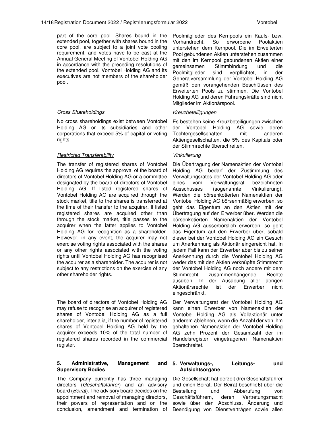part of the core pool. Shares bound in the extended pool, together with shares bound in the core pool, are subject to a joint vote pooling requirement, and votes have to be cast at the Annual General Meeting of Vontobel Holding AG in accordance with the preceding resolutions of the extended pool. Vontobel Holding AG and its executives are not members of the shareholder pool.

#### Cross Shareholdings

No cross shareholdings exist between Vontobel Holding AG or its subsidiaries and other corporations that exceed 5% of capital or voting rights.

### Restricted Transferability

The transfer of registered shares of Vontobel Holding AG requires the approval of the board of directors of Vontobel Holding AG or a committee designated by the board of directors of Vontobel Holding AG. If listed registered shares of Vontobel Holding AG are acquired through the stock market, title to the shares is transferred at the time of their transfer to the acquirer. If listed registered shares are acquired other than through the stock market, title passes to the acquirer when the latter applies to Vontobel Holding AG for recognition as a shareholder. However, in any event, the acquirer may not exercise voting rights associated with the shares or any other rights associated with the voting rights until Vontobel Holding AG has recognised the acquirer as a shareholder. The acquirer is not subject to any restrictions on the exercise of any other shareholder rights.

The board of directors of Vontobel Holding AG may refuse to recognise an acquirer of registered shares of Vontobel Holding AG as a full shareholder, inter alia, if the number of registered shares of Vontobel Holding AG held by the acquirer exceeds 10% of the total number of registered shares recorded in the commercial register.

#### **5.** Administrative, Management **Supervisory Bodies**

The Company currently has three managing directors (Geschäftsführer) and an advisory board (Beirat). The advisory board decides on the appointment and removal of managing directors, their powers of representation and on the conclusion, amendment and termination of

unterstehen dem Kernpool. Die im Erweiterten Pool gebundenen Aktien unterstehen zusammen mit den im Kernpool gebundenen Aktien einer gemeinsamen Stimmbindung und die Poolmitglieder sind verpflichtet, in der Generalversammlung der Vontobel Holding AG gemäß den vorangehenden Beschlüssen des Erweiterten Pools zu stimmen. Die Vontobel Holding AG und deren Führungskräfte sind nicht Mitglieder im Aktionärspool.

### Kreuzbeteiligungen

Es bestehen keine Kreuzbeteiligungen zwischen der Vontobel Holding AG sowie deren Tochtergesellschaften mit anderen Aktiengesellschaften, die 5% des Kapitals oder der Stimmrechte überschreiten.

### Vinkulierung

Die Übertragung der Namenaktien der Vontobel Holding AG bedarf der Zustimmung des Verwaltungsrates der Vontobel Holding AG oder eines vom Verwaltungsrat bezeichneten Ausschusses (sogenannte Vinkulierung). Werden die börsenkotierten Namenaktien der Vontobel Holding AG börsenmäßig erworben, so geht das Eigentum an den Aktien mit der Übertragung auf den Erwerber über. Werden die börsenkotierten Namenaktien der Vontobel Holding AG ausserbörslich erworben, so geht das Eigentum auf den Erwerber über, sobald dieser bei der Vontobel Holding AG ein Gesuch um Anerkennung als Aktionär eingereicht hat. In jedem Fall kann der Erwerber aber bis zu seiner Anerkennung durch die Vontobel Holding AG weder das mit den Aktien verknüpfte Stimmrecht der Vontobel Holding AG noch andere mit dem Stimmrecht zusammenhängende Rechte ausüben. In der Ausübung aller übrigen Aktionärsrechte ist der Erwerber nicht eingeschränkt.

Der Verwaltungsrat der Vontobel Holding AG kann einen Erwerber von Namenaktien der Vontobel Holding AG als Vollaktionär unter anderem ablehnen, wenn die Anzahl der von ihm gehaltenen Namenaktien der Vontobel Holding AG zehn Prozent der Gesamtzahl der im Handelsregister eingetragenen Namenaktien überschreitet.

#### **5. Verwaltungs-, Leitungs- und Aufsichtsorgane**

Die Gesellschaft hat derzeit drei Geschäftsführer und einen Beirat. Der Beirat beschließt über die Bestellung und Abberufung von Geschäftsführern, deren Vertretungsmacht sowie über den Abschluss, Änderung und Beendigung von Dienstverträgen sowie allen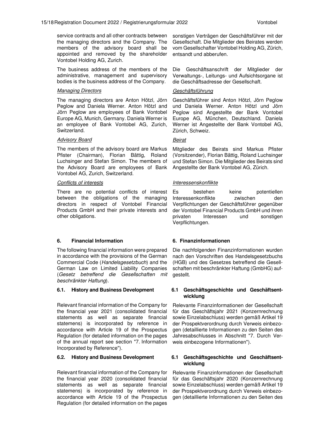service contracts and all other contracts between the managing directors and the Company. The members of the advisory board shall be appointed and removed by the shareholder Vontobel Holding AG, Zurich.

The business address of the members of the administrative, management and supervisory bodies is the business address of the Company.

#### Managing Directors

The managing directors are Anton Hötzl, Jörn Peglow and Daniela Werner. Anton Hötzl and Jörn Peglow are employees of Bank Vontobel Europe AG, Munich, Germany. Daniela Werner is an employee of Bank Vontobel AG, Zurich, Switzerland.

### Advisory Board

The members of the advisory board are Markus Pfister (Chairman), Florian Bättig, Roland Luchsinger and Stefan Simon. The members of the Advisory Board are employees of Bank Vontobel AG, Zurich, Switzerland.

#### Conflicts of interests

There are no potential conflicts of interest between the obligations of the managing directors in respect of Vontobel Financial Products GmbH and their private interests and other obligations.

### **6. Financial Information 6. Finanzinformationen**

The following financial information were prepared in accordance with the provisions of the German Commercial Code (Handelsgesetzbuch) and the German Law on Limited Liability Companies (Gesetz betreffend die Gesellschaften mit beschränkter Haftung).

Relevant financial information of the Company for the financial year 2021 (consolidated financial statements as well as separate financial statemens) is incorporated by reference in accordance with Article 19 of the Prospectus Regulation (for detailed information on the pages of the annual report see section "7. Information Incorporated by Reference").

Relevant financial information of the Company for the financial year 2020 (consolidated financial statements as well as separate financial statemens) is incorporated by reference in accordance with Article 19 of the Prospectus Regulation (for detailed information on the pages

sonstigen Verträgen der Geschäftsführer mit der Gesellschaft. Die Mitglieder des Beirates werden vom Gesellschafter Vontobel Holding AG, Zürich, entsandt und abberufen.

Die Geschäftsanschrift der Mitglieder der Verwaltungs-, Leitungs- und Aufsichtsorgane ist die Geschäftsadresse der Gesellschaft.

### Geschäftsführung

Geschäftsführer sind Anton Hötzl, Jörn Peglow und Daniela Werner. Anton Hötzl und Jörn Peglow sind Angestellte der Bank Vontobel Europe AG, München, Deutschland. Daniela Werner ist Angestellte der Bank Vontobel AG, Zürich, Schweiz.

### Beirat

Mitglieder des Beirats sind Markus Pfister (Vorsitzender), Florian Bättig, Roland Luchsinger und Stefan Simon. Die Mitglieder des Beirats sind Angestellte der Bank Vontobel AG, Zürich.

### Interessenskonflikte

Es bestehen keine potentiellen Interessenkonflikte zwischen den Verpflichtungen der Geschäftsführer gegenüber der Vontobel Financial Products GmbH und ihren privaten Interessen und sonstigen Verpflichtungen.

Die nachfolgenden Finanzinformationen wurden nach den Vorschriften des Handelsgesetzbuchs (HGB) und des Gesetzes betreffend die Gesellschaften mit beschränkter Haftung (GmbHG) aufgestellt.

### **6.1. History and Business Development 6.1 Geschäftsgeschichte und Geschäftsentwicklung**

Relevante Finanzinformationen der Gesellschaft für das Geschäftsjahr 2021 (Konzernrechnung sowie Einzelabschluss) werden gemäß Artikel 19 der Prospektverordnung durch Verweis einbezogen (detaillierte Informationen zu den Seiten des Jahresabschlusses in Abschnitt "7. Durch Verweis einbezogene Informationen").

### **6.2. History and Business Development 6.1 Geschäftsgeschichte und Geschäftsentwicklung**

Relevante Finanzinformationen der Gesellschaft für das Geschäftsjahr 2020 (Konzernrechnung sowie Einzelabschluss) werden gemäß Artikel 19 der Prospektverordnung durch Verweis einbezogen (detaillierte Informationen zu den Seiten des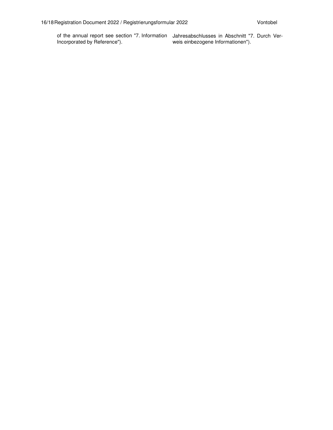of the annual report see section "7. Information Incorporated by Reference").

Jahresabschlusses in Abschnitt "7. Durch Verweis einbezogene Informationen").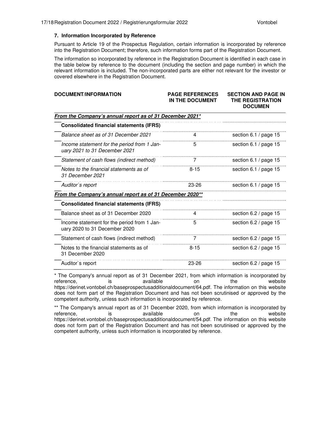#### **7. Information Incorporated by Reference**

Pursuant to Article 19 of the Prospectus Regulation, certain information is incorporated by reference into the Registration Document; therefore, such information forms part of the Registration Document.

The information so incorporated by reference in the Registration Document is identified in each case in the table below by reference to the document (including the section and page number) in which the relevant information is included. The non-incorporated parts are either not relevant for the investor or covered elsewhere in the Registration Document.

| DOCUMENT/INFORMATION                                                         | <b>PAGE REFERENCES</b><br>IN THE DOCUMENT | <b>SECTION AND PAGE IN</b><br><b>THE REGISTRATION</b><br><b>DOCUMEN</b> |  |  |  |
|------------------------------------------------------------------------------|-------------------------------------------|-------------------------------------------------------------------------|--|--|--|
| From the Company's annual report as of 31 December 2021*                     |                                           |                                                                         |  |  |  |
| <b>Consolidated financial statements (IFRS)</b>                              |                                           |                                                                         |  |  |  |
| Balance sheet as of 31 December 2021                                         | 4                                         | section 6.1 / page 15                                                   |  |  |  |
| Income statement for the period from 1 Jan-<br>uary 2021 to 31 December 2021 | 5                                         | section 6.1 / page 15                                                   |  |  |  |
| Statement of cash flows (indirect method)                                    | 7                                         | section 6.1 / page 15                                                   |  |  |  |
| Notes to the financial statements as of<br>31 December 2021                  | $8 - 15$                                  | section 6.1 / page 15                                                   |  |  |  |
| Auditor`s report                                                             | 23-26                                     | section 6.1 / page 15                                                   |  |  |  |
| From the Company's annual report as of 31 December 2020**                    |                                           |                                                                         |  |  |  |
| <b>Consolidated financial statements (IFRS)</b>                              |                                           |                                                                         |  |  |  |
| Balance sheet as of 31 December 2020                                         | 4                                         | section 6.2 / page 15                                                   |  |  |  |
| Income statement for the period from 1 Jan-<br>uary 2020 to 31 December 2020 | 5                                         | section 6.2 / page 15                                                   |  |  |  |
| Statement of cash flows (indirect method)                                    | 7                                         | section 6.2 / page 15                                                   |  |  |  |
| Notes to the financial statements as of<br>31 December 2020                  | $8 - 15$                                  | section 6.2 / page 15                                                   |  |  |  |
| Auditor's report                                                             | 23-26                                     | section 6.2 / page 15                                                   |  |  |  |

\* The Company's annual report as of 31 December 2021, from which information is incorporated by reference, is available on the website https://derinet.vontobel.ch/baseprospectusadditionaldocument/64.pdf. The information on this website does not form part of the Registration Document and has not been scrutinised or approved by the competent authority, unless such information is incorporated by reference.

\*\* The Company's annual report as of 31 December 2020, from which information is incorporated by reference, is available on the website https://derinet.vontobel.ch/baseprospectusadditionaldocument/54.pdf. The information on this website does not form part of the Registration Document and has not been scrutinised or approved by the competent authority, unless such information is incorporated by reference.